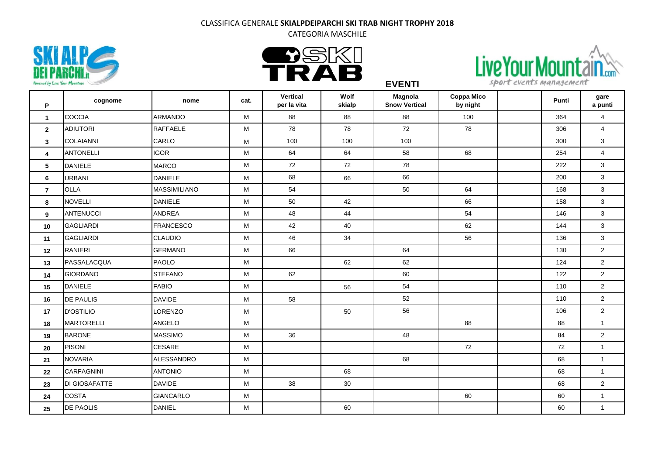CATEGORIA MASCHILE

**EVENTI**







**P cognome nome cat. Vertical per la vita Wolf skialp Magnola Snow Vertical Coppa Mico by night Punti gare a punti** COCCIA ARMANDO M 88 88 88 100 364 4 ADIUTORI RAFFAELE M 78 78 72 78 306 4 COLAIANNI CARLO M 100 100 100 300 3 ANTONELLI IGOR M 64 64 58 68 254 4 DANIELE MARCO | M | 72 | 72 | 78 | | 222 | 3 URBANI DANIELE M 68 66 66 200 3 **O**LLA MASSIMILIANO M | 54 50 | 64 | 168 | 3 NOVELLI DANIELE M 50 42 66 158 3 ANTENUCCI ANDREA M 48 44 54 146 3 GAGLIARDI FRANCESCO M 42 40 62 144 3 GAGLIARDI CLAUDIO M 46 34 56 136 3 RANIERI GERMANO M 66 64 130 2 PASSALACQUA PAOLO M 62 62 124 2 GIORDANO STEFANO M 62 60 122 2 DANIELE FABIO M 56 54 110 2 DE PAULIS DAVIDE M 58 52 110 2 D'OSTILIO LORENZO M 50 56 106 2 MARTORELLI ANGELO M 88 88 1 BARONE MASSIMO M 36 48 84 2 PISONI CESARE M 72 72 1 NOVARIA ALESSANDRO M 68 68 1 CARFAGNINI ANTONIO M 68 68 1 DI GIOSAFATTE DAVIDE M 38 30 68 2 COSTA GIANCARLO M 60 60 1 DE PAOLIS DANIEL M 60 60 1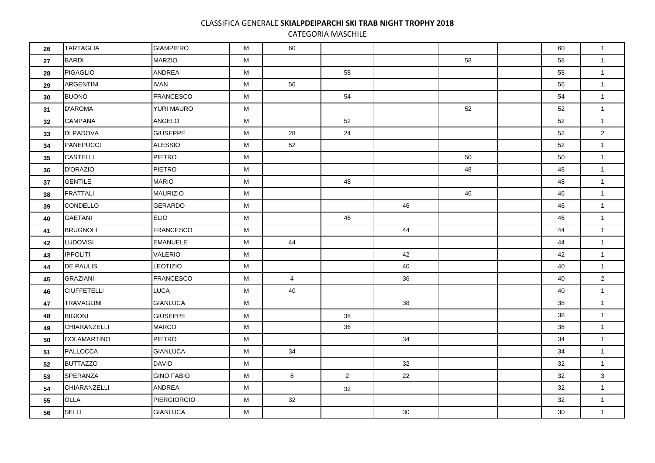CATEGORIA MASCHILE

| 26 | <b>TARTAGLIA</b>   | <b>GIAMPIERO</b>   | M | 60             |                |    |    | 60 | $\mathbf{1}$   |
|----|--------------------|--------------------|---|----------------|----------------|----|----|----|----------------|
| 27 | <b>BARDI</b>       | <b>MARZIO</b>      | M |                |                |    | 58 | 58 | $\mathbf{1}$   |
| 28 | PIGAGLIO           | ANDREA             | M |                | 58             |    |    | 58 | $\mathbf{1}$   |
| 29 | ARGENTINI          | <b>IVAN</b>        | M | 56             |                |    |    | 56 | $\mathbf{1}$   |
| 30 | <b>BUONO</b>       | <b>FRANCESCO</b>   | M |                | 54             |    |    | 54 | $\mathbf{1}$   |
| 31 | <b>D'AROMA</b>     | YURI MAURO         | M |                |                |    | 52 | 52 | $\mathbf{1}$   |
| 32 | <b>CAMPANA</b>     | ANGELO             | M |                | 52             |    |    | 52 | $\mathbf{1}$   |
| 33 | DI PADOVA          | <b>GIUSEPPE</b>    | M | 28             | 24             |    |    | 52 | $\overline{2}$ |
| 34 | PANEPUCCI          | <b>ALESSIO</b>     | M | 52             |                |    |    | 52 | $\mathbf{1}$   |
| 35 | <b>CASTELLI</b>    | <b>PIETRO</b>      | M |                |                |    | 50 | 50 | $\mathbf{1}$   |
| 36 | <b>D'ORAZIO</b>    | <b>PIETRO</b>      | M |                |                |    | 48 | 48 | $\mathbf{1}$   |
| 37 | <b>GENTILE</b>     | <b>MARIO</b>       | M |                | 48             |    |    | 48 | $\mathbf{1}$   |
| 38 | FRATTALI           | <b>MAURIZIO</b>    | M |                |                |    | 46 | 46 | $\mathbf{1}$   |
| 39 | <b>CONDELLO</b>    | GERARDO            | M |                |                | 46 |    | 46 | $\mathbf{1}$   |
| 40 | <b>GAETANI</b>     | <b>ELIO</b>        | M |                | 46             |    |    | 46 | $\mathbf{1}$   |
| 41 | <b>BRUGNOLI</b>    | <b>FRANCESCO</b>   | M |                |                | 44 |    | 44 | $\mathbf{1}$   |
| 42 | <b>LUDOVISI</b>    | <b>EMANUELE</b>    | M | 44             |                |    |    | 44 | $\mathbf{1}$   |
| 43 | <b>IPPOLITI</b>    | <b>VALERIO</b>     | M |                |                | 42 |    | 42 | $\mathbf{1}$   |
| 44 | <b>DE PAULIS</b>   | LEOTIZIO           | M |                |                | 40 |    | 40 | $\mathbf{1}$   |
| 45 | GRAZIANI           | FRANCESCO          | M | $\overline{4}$ |                | 36 |    | 40 | 2 <sup>1</sup> |
| 46 | <b>CIUFFETELLI</b> | <b>LUCA</b>        | M | 40             |                |    |    | 40 | $\mathbf{1}$   |
| 47 | TRAVAGLINI         | <b>GIANLUCA</b>    | M |                |                | 38 |    | 38 | $\mathbf{1}$   |
| 48 | <b>BIGIONI</b>     | <b>GIUSEPPE</b>    | M |                | 38             |    |    | 38 | $\mathbf{1}$   |
| 49 | CHIARANZELLI       | <b>MARCO</b>       | M |                | 36             |    |    | 36 | $\mathbf{1}$   |
| 50 | COLAMARTINO        | <b>PIETRO</b>      | M |                |                | 34 |    | 34 | $\mathbf{1}$   |
| 51 | PALLOCCA           | <b>GIANLUCA</b>    | M | 34             |                |    |    | 34 | $\mathbf{1}$   |
| 52 | <b>BUTTAZZO</b>    | <b>DAVID</b>       | M |                |                | 32 |    | 32 | $\mathbf{1}$   |
| 53 | SPERANZA           | <b>GINO FABIO</b>  | М | 8              | $\overline{2}$ | 22 |    | 32 | $\mathbf{3}$   |
| 54 | CHIARANZELLI       | ANDREA             | М |                | 32             |    |    | 32 | $\mathbf{1}$   |
| 55 | OLLA               | <b>PIERGIORGIO</b> | M | 32             |                |    |    | 32 | $\mathbf{1}$   |
| 56 | <b>SELLI</b>       | <b>GIANLUCA</b>    | M |                |                | 30 |    | 30 | $\mathbf{1}$   |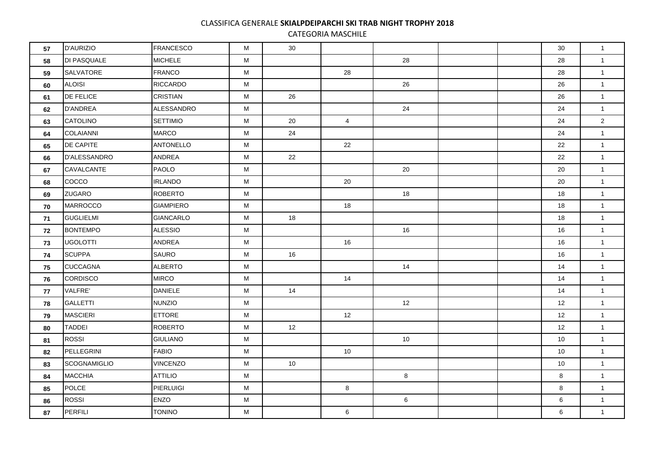CATEGORIA MASCHILE

| 57 | <b>D'AURIZIO</b>    | <b>FRANCESCO</b> | М         | 30 |                 |    |  | 30 | $\mathbf{1}$   |
|----|---------------------|------------------|-----------|----|-----------------|----|--|----|----------------|
| 58 | DI PASQUALE         | <b>MICHELE</b>   | M         |    |                 | 28 |  | 28 | $\mathbf{1}$   |
| 59 | <b>SALVATORE</b>    | <b>FRANCO</b>    | M         |    | 28              |    |  | 28 | $\mathbf{1}$   |
| 60 | <b>ALOISI</b>       | <b>RICCARDO</b>  | M         |    |                 | 26 |  | 26 | $\mathbf{1}$   |
| 61 | <b>DE FELICE</b>    | <b>CRISTIAN</b>  | M         | 26 |                 |    |  | 26 | $\mathbf{1}$   |
| 62 | <b>D'ANDREA</b>     | ALESSANDRO       | M         |    |                 | 24 |  | 24 | $\mathbf{1}$   |
| 63 | CATOLINO            | <b>SETTIMIO</b>  | M         | 20 | $\overline{4}$  |    |  | 24 | $\overline{2}$ |
| 64 | COLAIANNI           | <b>MARCO</b>     | ${\sf M}$ | 24 |                 |    |  | 24 | $\mathbf{1}$   |
| 65 | <b>DE CAPITE</b>    | <b>ANTONELLO</b> | M         |    | 22              |    |  | 22 | $\mathbf{1}$   |
| 66 | D'ALESSANDRO        | ANDREA           | M         | 22 |                 |    |  | 22 | $\mathbf{1}$   |
| 67 | CAVALCANTE          | <b>PAOLO</b>     | M         |    |                 | 20 |  | 20 | $\mathbf{1}$   |
| 68 | cocco               | <b>IRLANDO</b>   | М         |    | 20              |    |  | 20 | $\mathbf{1}$   |
| 69 | <b>ZUGARO</b>       | <b>ROBERTO</b>   | M         |    |                 | 18 |  | 18 | $\mathbf{1}$   |
| 70 | MARROCCO            | <b>GIAMPIERO</b> | M         |    | 18              |    |  | 18 | $\mathbf{1}$   |
| 71 | <b>GUGLIELMI</b>    | <b>GIANCARLO</b> | M         | 18 |                 |    |  | 18 | $\mathbf{1}$   |
| 72 | <b>BONTEMPO</b>     | <b>ALESSIO</b>   | М         |    |                 | 16 |  | 16 | $\mathbf{1}$   |
| 73 | <b>UGOLOTTI</b>     | ANDREA           | М         |    | 16              |    |  | 16 | $\mathbf{1}$   |
| 74 | <b>SCUPPA</b>       | SAURO            | M         | 16 |                 |    |  | 16 | $\mathbf{1}$   |
| 75 | <b>CUCCAGNA</b>     | <b>ALBERTO</b>   | M         |    |                 | 14 |  | 14 | $\mathbf{1}$   |
| 76 | <b>CORDISCO</b>     | <b>MIRCO</b>     | М         |    | 14              |    |  | 14 | $\mathbf{1}$   |
| 77 | VALFRE'             | <b>DANIELE</b>   | М         | 14 |                 |    |  | 14 | $\mathbf{1}$   |
| 78 | GALLETTI            | <b>NUNZIO</b>    | M         |    |                 | 12 |  | 12 | $\mathbf{1}$   |
| 79 | <b>MASCIERI</b>     | <b>ETTORE</b>    | M         |    | 12 <sup>2</sup> |    |  | 12 | $\mathbf{1}$   |
| 80 | <b>TADDEI</b>       | <b>ROBERTO</b>   | M         | 12 |                 |    |  | 12 | $\mathbf{1}$   |
| 81 | <b>ROSSI</b>        | <b>GIULIANO</b>  | M         |    |                 | 10 |  | 10 | $\mathbf{1}$   |
| 82 | PELLEGRINI          | <b>FABIO</b>     | M         |    | 10 <sup>°</sup> |    |  | 10 | $\mathbf{1}$   |
| 83 | <b>SCOGNAMIGLIO</b> | <b>VINCENZO</b>  | M         | 10 |                 |    |  | 10 | $\mathbf{1}$   |
| 84 | <b>MACCHIA</b>      | <b>ATTILIO</b>   | М         |    |                 | 8  |  | 8  | $\mathbf{1}$   |
| 85 | <b>POLCE</b>        | PIERLUIGI        | M         |    | 8               |    |  | 8  | $\mathbf{1}$   |
| 86 | <b>ROSSI</b>        | <b>ENZO</b>      | M         |    |                 | 6  |  | 6  | $\mathbf{1}$   |
| 87 | PERFILI             | <b>TONINO</b>    | М         |    | 6               |    |  | 6  | $\mathbf{1}$   |